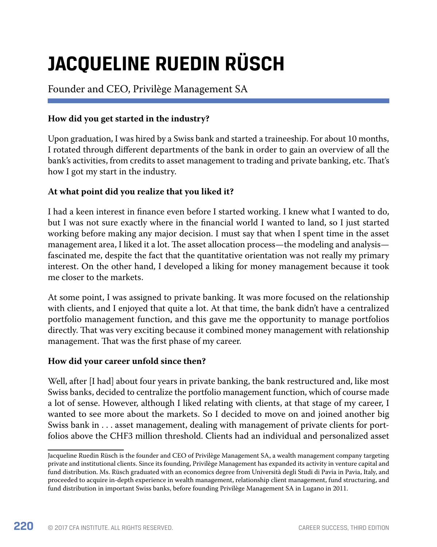# **JACQUELINE RUEDIN RÜSCH**

# Founder and CEO, Privilège Management SA

# **How did you get started in the industry?**

Upon graduation, I was hired by a Swiss bank and started a traineeship. For about 10 months, I rotated through different departments of the bank in order to gain an overview of all the bank's activities, from credits to asset management to trading and private banking, etc. That's how I got my start in the industry.

## **At what point did you realize that you liked it?**

I had a keen interest in finance even before I started working. I knew what I wanted to do, but I was not sure exactly where in the financial world I wanted to land, so I just started working before making any major decision. I must say that when I spent time in the asset management area, I liked it a lot. The asset allocation process—the modeling and analysis fascinated me, despite the fact that the quantitative orientation was not really my primary interest. On the other hand, I developed a liking for money management because it took me closer to the markets.

At some point, I was assigned to private banking. It was more focused on the relationship with clients, and I enjoyed that quite a lot. At that time, the bank didn't have a centralized portfolio management function, and this gave me the opportunity to manage portfolios directly. That was very exciting because it combined money management with relationship management. That was the first phase of my career.

## **How did your career unfold since then?**

Well, after [I had] about four years in private banking, the bank restructured and, like most Swiss banks, decided to centralize the portfolio management function, which of course made a lot of sense. However, although I liked relating with clients, at that stage of my career, I wanted to see more about the markets. So I decided to move on and joined another big Swiss bank in . . . asset management, dealing with management of private clients for portfolios above the CHF3 million threshold. Clients had an individual and personalized asset

Jacqueline Ruedin Rüsch is the founder and CEO of Privilège Management SA, a wealth management company targeting private and institutional clients. Since its founding, Privilège Management has expanded its activity in venture capital and fund distribution. Ms. Rüsch graduated with an economics degree from Università degli Studi di Pavia in Pavia, Italy, and proceeded to acquire in-depth experience in wealth management, relationship client management, fund structuring, and fund distribution in important Swiss banks, before founding Privilège Management SA in Lugano in 2011.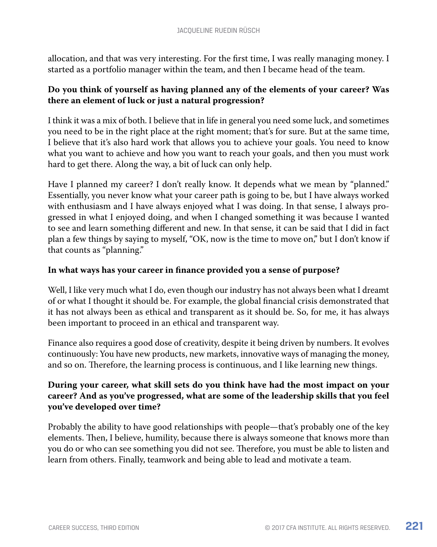allocation, and that was very interesting. For the first time, I was really managing money. I started as a portfolio manager within the team, and then I became head of the team.

## **Do you think of yourself as having planned any of the elements of your career? Was there an element of luck or just a natural progression?**

I think it was a mix of both. I believe that in life in general you need some luck, and sometimes you need to be in the right place at the right moment; that's for sure. But at the same time, I believe that it's also hard work that allows you to achieve your goals. You need to know what you want to achieve and how you want to reach your goals, and then you must work hard to get there. Along the way, a bit of luck can only help.

Have I planned my career? I don't really know. It depends what we mean by "planned." Essentially, you never know what your career path is going to be, but I have always worked with enthusiasm and I have always enjoyed what I was doing. In that sense, I always progressed in what I enjoyed doing, and when I changed something it was because I wanted to see and learn something different and new. In that sense, it can be said that I did in fact plan a few things by saying to myself, "OK, now is the time to move on," but I don't know if that counts as "planning."

#### **In what ways has your career in finance provided you a sense of purpose?**

Well, I like very much what I do, even though our industry has not always been what I dreamt of or what I thought it should be. For example, the global financial crisis demonstrated that it has not always been as ethical and transparent as it should be. So, for me, it has always been important to proceed in an ethical and transparent way.

Finance also requires a good dose of creativity, despite it being driven by numbers. It evolves continuously: You have new products, new markets, innovative ways of managing the money, and so on. Therefore, the learning process is continuous, and I like learning new things.

## **During your career, what skill sets do you think have had the most impact on your career? And as you've progressed, what are some of the leadership skills that you feel you've developed over time?**

Probably the ability to have good relationships with people—that's probably one of the key elements. Then, I believe, humility, because there is always someone that knows more than you do or who can see something you did not see. Therefore, you must be able to listen and learn from others. Finally, teamwork and being able to lead and motivate a team.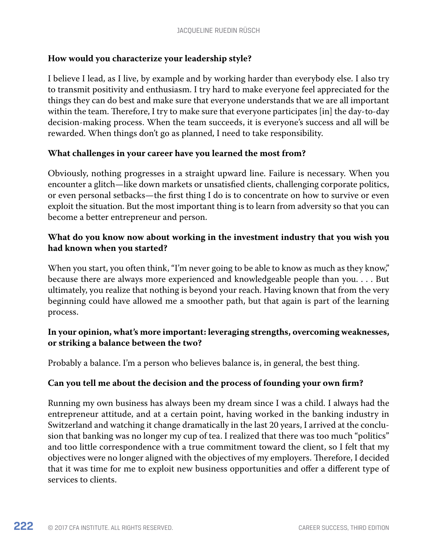#### **How would you characterize your leadership style?**

I believe I lead, as I live, by example and by working harder than everybody else. I also try to transmit positivity and enthusiasm. I try hard to make everyone feel appreciated for the things they can do best and make sure that everyone understands that we are all important within the team. Therefore, I try to make sure that everyone participates [in] the day-to-day decision-making process. When the team succeeds, it is everyone's success and all will be rewarded. When things don't go as planned, I need to take responsibility.

#### **What challenges in your career have you learned the most from?**

Obviously, nothing progresses in a straight upward line. Failure is necessary. When you encounter a glitch—like down markets or unsatisfied clients, challenging corporate politics, or even personal setbacks—the first thing I do is to concentrate on how to survive or even exploit the situation. But the most important thing is to learn from adversity so that you can become a better entrepreneur and person.

## **What do you know now about working in the investment industry that you wish you had known when you started?**

When you start, you often think, "I'm never going to be able to know as much as they know," because there are always more experienced and knowledgeable people than you. . . . But ultimately, you realize that nothing is beyond your reach. Having known that from the very beginning could have allowed me a smoother path, but that again is part of the learning process.

#### **In your opinion, what's more important: leveraging strengths, overcoming weaknesses, or striking a balance between the two?**

Probably a balance. I'm a person who believes balance is, in general, the best thing.

#### **Can you tell me about the decision and the process of founding your own firm?**

Running my own business has always been my dream since I was a child. I always had the entrepreneur attitude, and at a certain point, having worked in the banking industry in Switzerland and watching it change dramatically in the last 20 years, I arrived at the conclusion that banking was no longer my cup of tea. I realized that there was too much "politics" and too little correspondence with a true commitment toward the client, so I felt that my objectives were no longer aligned with the objectives of my employers. Therefore, I decided that it was time for me to exploit new business opportunities and offer a different type of services to clients.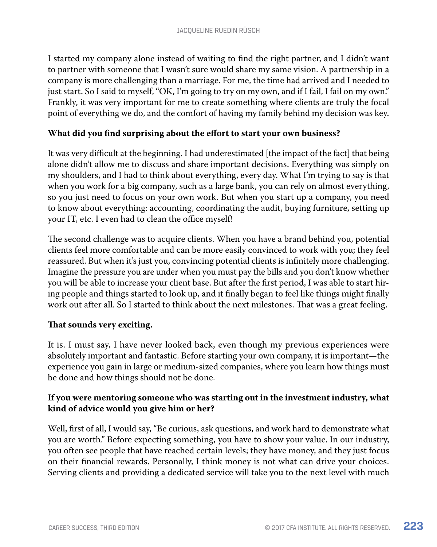I started my company alone instead of waiting to find the right partner, and I didn't want to partner with someone that I wasn't sure would share my same vision. A partnership in a company is more challenging than a marriage. For me, the time had arrived and I needed to just start. So I said to myself, "OK, I'm going to try on my own, and if I fail, I fail on my own." Frankly, it was very important for me to create something where clients are truly the focal point of everything we do, and the comfort of having my family behind my decision was key.

#### **What did you find surprising about the effort to start your own business?**

It was very difficult at the beginning. I had underestimated [the impact of the fact] that being alone didn't allow me to discuss and share important decisions. Everything was simply on my shoulders, and I had to think about everything, every day. What I'm trying to say is that when you work for a big company, such as a large bank, you can rely on almost everything, so you just need to focus on your own work. But when you start up a company, you need to know about everything: accounting, coordinating the audit, buying furniture, setting up your IT, etc. I even had to clean the office myself!

The second challenge was to acquire clients. When you have a brand behind you, potential clients feel more comfortable and can be more easily convinced to work with you; they feel reassured. But when it's just you, convincing potential clients is infinitely more challenging. Imagine the pressure you are under when you must pay the bills and you don't know whether you will be able to increase your client base. But after the first period, I was able to start hiring people and things started to look up, and it finally began to feel like things might finally work out after all. So I started to think about the next milestones. That was a great feeling.

#### **That sounds very exciting.**

It is. I must say, I have never looked back, even though my previous experiences were absolutely important and fantastic. Before starting your own company, it is important—the experience you gain in large or medium-sized companies, where you learn how things must be done and how things should not be done.

#### **If you were mentoring someone who was starting out in the investment industry, what kind of advice would you give him or her?**

Well, first of all, I would say, "Be curious, ask questions, and work hard to demonstrate what you are worth." Before expecting something, you have to show your value. In our industry, you often see people that have reached certain levels; they have money, and they just focus on their financial rewards. Personally, I think money is not what can drive your choices. Serving clients and providing a dedicated service will take you to the next level with much